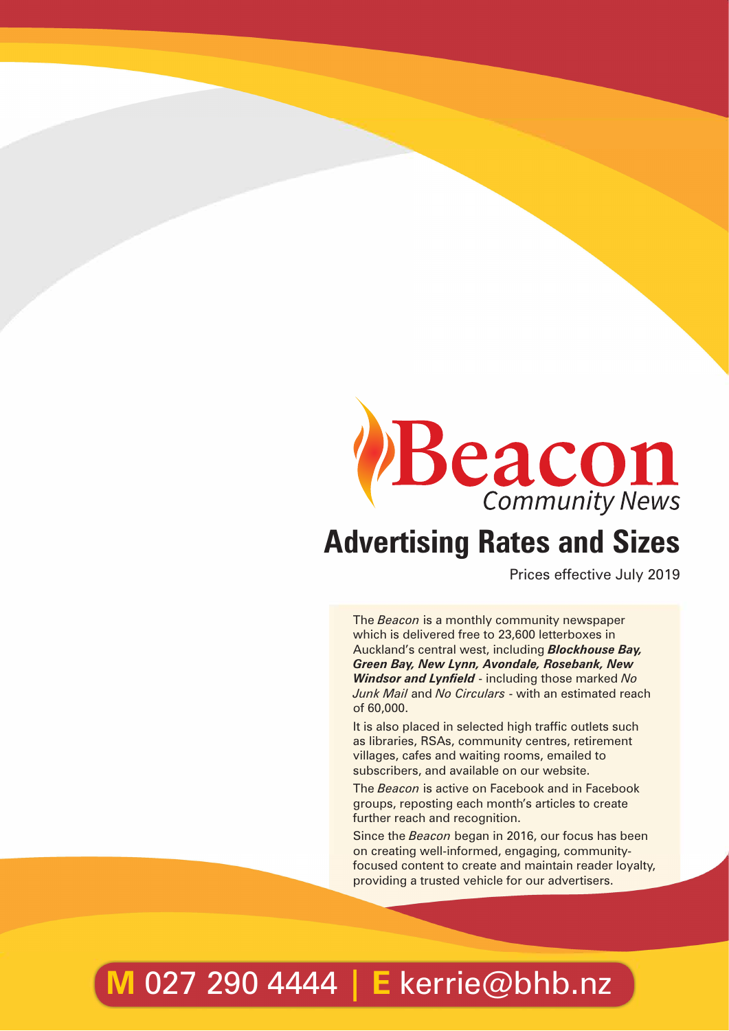

Prices effective July 2019

The *Beacon* is a monthly community newspaper which is delivered free to 23,600 letterboxes in Auckland's central west, including *Blockhouse Bay, Green Bay, New Lynn, Avondale, Rosebank, New Windsor and Lynfield* - including those marked *No Junk Mail* and *No Circulars* - with an estimated reach of 60,000.

It is also placed in selected high traffic outlets such as libraries, RSAs, community centres, retirement villages, cafes and waiting rooms, emailed to subscribers, and available on our website.

The *Beacon* is active on Facebook and in Facebook groups, reposting each month's articles to create further reach and recognition.

Since the *Beacon* began in 2016, our focus has been on creating well-informed, engaging, communityfocused content to create and maintain reader loyalty, providing a trusted vehicle for our advertisers.

# **M** 027 290 4444 **| E** kerrie@bhb.nz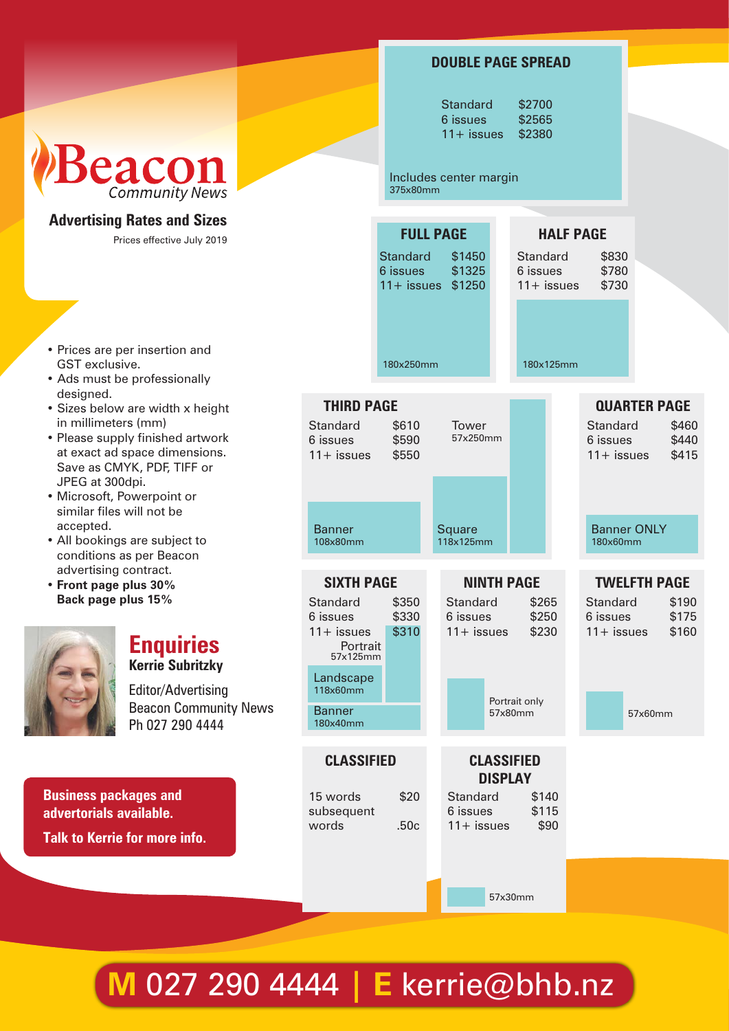|                                                                                                                                                                                                                                                                                                                                                                                                                                                                                                                                 |                                                                                                                                          |                             | <b>DOUBLE PAGE SPREAD</b>                                              |                                                     |                                             |                                                           |
|---------------------------------------------------------------------------------------------------------------------------------------------------------------------------------------------------------------------------------------------------------------------------------------------------------------------------------------------------------------------------------------------------------------------------------------------------------------------------------------------------------------------------------|------------------------------------------------------------------------------------------------------------------------------------------|-----------------------------|------------------------------------------------------------------------|-----------------------------------------------------|---------------------------------------------|-----------------------------------------------------------|
| Beacon                                                                                                                                                                                                                                                                                                                                                                                                                                                                                                                          |                                                                                                                                          | 375x80mm                    | <b>Standard</b><br>6 issues<br>$11 +$ issues<br>Includes center margin | \$2700<br>\$2565<br>\$2380                          |                                             |                                                           |
| <b>Community News</b>                                                                                                                                                                                                                                                                                                                                                                                                                                                                                                           |                                                                                                                                          |                             |                                                                        |                                                     |                                             |                                                           |
| <b>Advertising Rates and Sizes</b><br>Prices effective July 2019                                                                                                                                                                                                                                                                                                                                                                                                                                                                |                                                                                                                                          | <b>Standard</b><br>6 issues | <b>FULL PAGE</b><br>\$1450<br>\$1325<br>11+ issues \$1250              | Standard<br>6 issues<br>$11 +$ issues               | <b>HALF PAGE</b><br>\$830<br>\$780<br>\$730 |                                                           |
| • Prices are per insertion and<br>GST exclusive.<br>• Ads must be professionally                                                                                                                                                                                                                                                                                                                                                                                                                                                |                                                                                                                                          | 180x250mm                   |                                                                        | 180x125mm                                           |                                             |                                                           |
| designed.<br>· Sizes below are width x height<br>in millimeters (mm)<br>• Please supply finished artwork<br>at exact ad space dimensions.<br>Save as CMYK, PDF, TIFF or<br>JPEG at 300dpi.<br>· Microsoft, Powerpoint or<br>similar files will not be<br>accepted.<br>• All bookings are subject to<br>conditions as per Beacon<br>advertising contract.<br>• Front page plus 30%<br>Back page plus 15%<br><b>Enquiries</b><br><b>Kerrie Subritzky</b><br>Editor/Advertising<br><b>Beacon Community News</b><br>Ph 027 290 4444 | <b>THIRD PAGE</b><br>Standard<br>6 issues<br>$11 +$ issues                                                                               | \$610<br>\$590<br>\$550     | Tower<br>57x250mm                                                      |                                                     | Standard<br>6 issues<br>$11 +$ issues       | <b>QUARTER PAGE</b><br>\$460<br>\$440<br>\$415            |
|                                                                                                                                                                                                                                                                                                                                                                                                                                                                                                                                 | <b>Banner</b><br>108x80mm                                                                                                                |                             | <b>Square</b><br>118x125mm                                             |                                                     | <b>Banner ONLY</b><br>180x60mm              |                                                           |
|                                                                                                                                                                                                                                                                                                                                                                                                                                                                                                                                 | <b>SIXTH PAGE</b><br>Standard<br>6 issues<br>$11 +$ issues<br>Portrait<br>57x125mm<br>Landscape<br>118x60mm<br><b>Banner</b><br>180x40mm | \$350<br>\$330<br>\$310     | <b>NINTH PAGE</b><br><b>Standard</b><br>6 issues<br>$11 +$ issues      | \$265<br>\$250<br>\$230<br>Portrait only<br>57x80mm | Standard<br>6 issues<br>$11 +$ issues       | <b>TWELFTH PAGE</b><br>\$190<br>\$175<br>\$160<br>57x60mm |
| <b>Business packages and</b><br>dvertorials available.<br><b>Talk to Kerrie for more info.</b>                                                                                                                                                                                                                                                                                                                                                                                                                                  | <b>CLASSIFIED</b><br>15 words<br>subsequent<br>words                                                                                     | \$20<br>.50c                | <b>CLASSIFIED</b><br>Standard<br>6 issues<br>$11 +$ issues             | <b>DISPLAY</b><br>\$140<br>\$115<br>\$90            |                                             |                                                           |
|                                                                                                                                                                                                                                                                                                                                                                                                                                                                                                                                 |                                                                                                                                          |                             |                                                                        | 57x30mm                                             |                                             |                                                           |

## **M** 027 290 4444 **| E** kerrie@bhb.nz

- Ads must be professionally designed.
- Sizes below are width x height in millimeters (mm)
- Please supply finished artwo at exact ad space dimensions. Save as CMYK, PDF, TIFF or JPEG at 300dpi.
- Microsoft, Powerpoint or similar files will not be accepted.
- All bookings are subject to conditions as per Beacon advertising contract.
- **• Front page plus 30% Back page plus 15%**



### **Enquiries Kerrie Subritzky**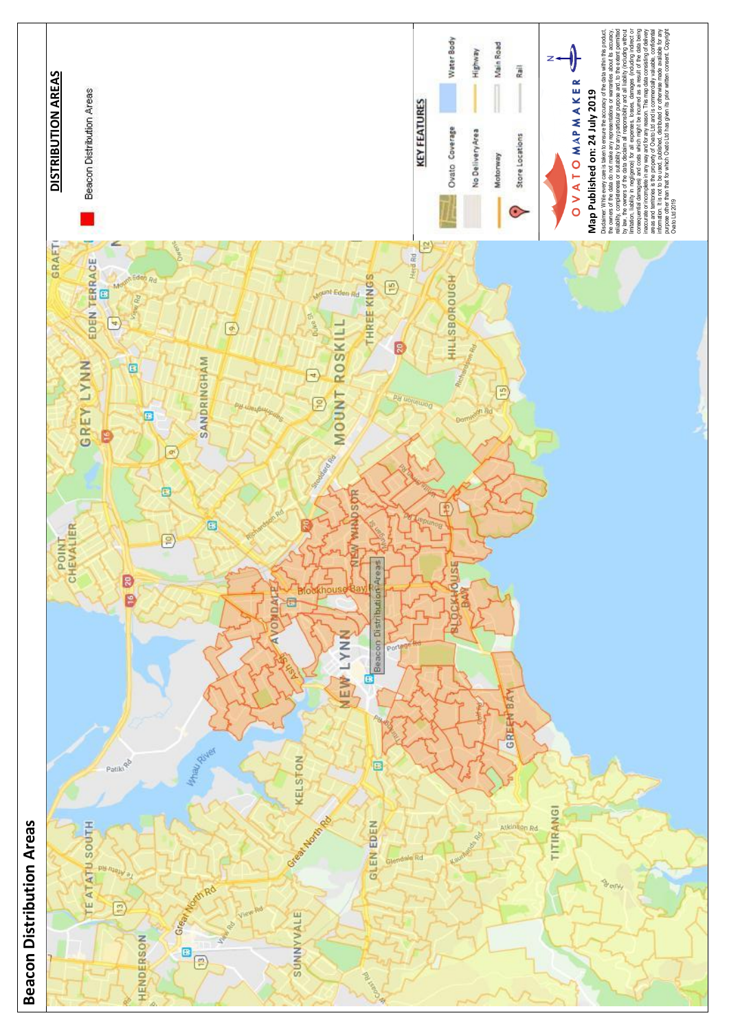